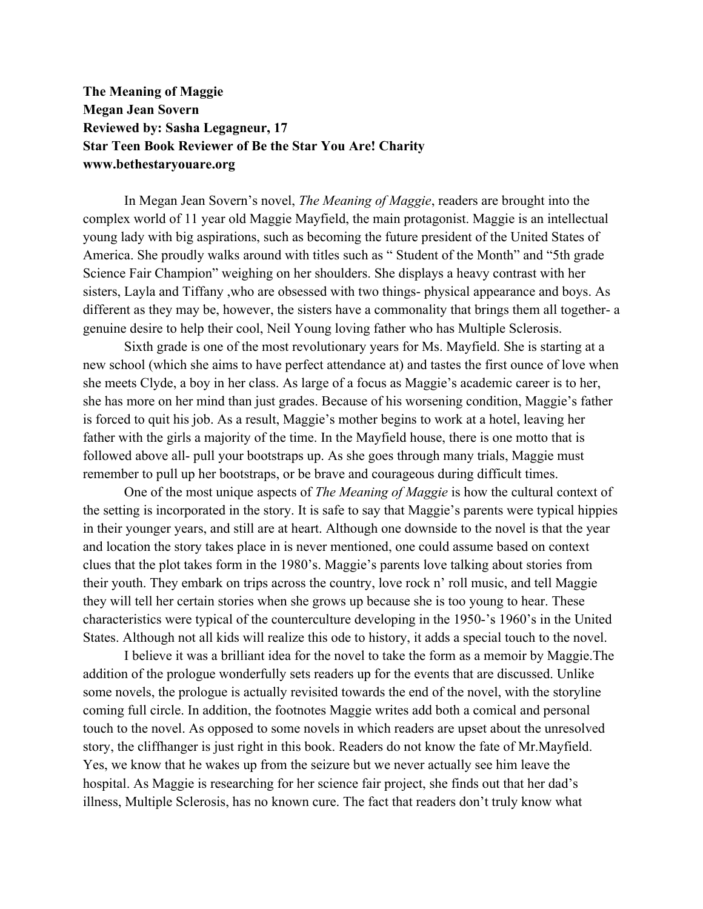## **The Meaning of Maggie Megan Jean Sovern Reviewed by: Sasha Legagneur, 17 Star Teen Book Reviewer of Be the Star You Are! Charity www.bethestaryouare.org**

In Megan Jean Sovern's novel, *The Meaning of Maggie*, readers are brought into the complex world of 11 year old Maggie Mayfield, the main protagonist. Maggie is an intellectual young lady with big aspirations, such as becoming the future president of the United States of America. She proudly walks around with titles such as " Student of the Month" and "5th grade Science Fair Champion" weighing on her shoulders. She displays a heavy contrast with her sisters, Layla and Tiffany ,who are obsessed with two things- physical appearance and boys. As different as they may be, however, the sisters have a commonality that brings them all together- a genuine desire to help their cool, Neil Young loving father who has Multiple Sclerosis.

Sixth grade is one of the most revolutionary years for Ms. Mayfield. She is starting at a new school (which she aims to have perfect attendance at) and tastes the first ounce of love when she meets Clyde, a boy in her class. As large of a focus as Maggie's academic career is to her, she has more on her mind than just grades. Because of his worsening condition, Maggie's father is forced to quit his job. As a result, Maggie's mother begins to work at a hotel, leaving her father with the girls a majority of the time. In the Mayfield house, there is one motto that is followed above all- pull your bootstraps up. As she goes through many trials, Maggie must remember to pull up her bootstraps, or be brave and courageous during difficult times.

One of the most unique aspects of *The Meaning of Maggie* is how the cultural context of the setting is incorporated in the story. It is safe to say that Maggie's parents were typical hippies in their younger years, and still are at heart. Although one downside to the novel is that the year and location the story takes place in is never mentioned, one could assume based on context clues that the plot takes form in the 1980's. Maggie's parents love talking about stories from their youth. They embark on trips across the country, love rock n' roll music, and tell Maggie they will tell her certain stories when she grows up because she is too young to hear. These characteristics were typical of the counterculture developing in the 1950-'s 1960's in the United States. Although not all kids will realize this ode to history, it adds a special touch to the novel.

I believe it was a brilliant idea for the novel to take the form as a memoir by Maggie.The addition of the prologue wonderfully sets readers up for the events that are discussed. Unlike some novels, the prologue is actually revisited towards the end of the novel, with the storyline coming full circle. In addition, the footnotes Maggie writes add both a comical and personal touch to the novel. As opposed to some novels in which readers are upset about the unresolved story, the cliffhanger is just right in this book. Readers do not know the fate of Mr.Mayfield. Yes, we know that he wakes up from the seizure but we never actually see him leave the hospital. As Maggie is researching for her science fair project, she finds out that her dad's illness, Multiple Sclerosis, has no known cure. The fact that readers don't truly know what